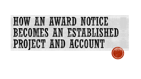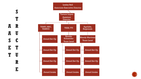

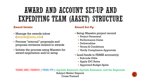## AWARD AND ACCOUNT SET-UP AND EXPEDITING TEAM (AASET) STRUCTURE

### **Award Intake**

- Manage the awards inbox [\(awards@tamu.edu](mailto:awards@tamu.edu))
- Process "internal" proposals and proposal revisions related to awards
- **Initiate the process using Maestro for** award negotiation and/or setup

### **Award Set-Up**

- Setup Maestro project record
	- **Project Personnel**
	- Performance Dates
	- Deliverables
	- Terms & Conditions
	- Verify Compliance Approvals
- Load funds to FAMIS account(s)
	- Subcode Edits
	- Apply IDC Rates
	- Approved Budget Splits

TAMU, HSC, TAMUG | TEES, TTI | AgriLife Research, AgriLife Extension, and the Regionals Subject Matter Experts Cross-Trained

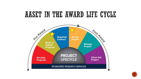### AASET IN THE AWARD LIFE CYCLE



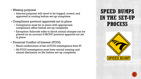- Missing proposal
	- Internal proposal will need to be logged, routed, and approved in routing before set-up completes
- Compliance protocol approvals not in place
	- **Compliance must be in place with appropriate** compliance office before set-up completes
	- Exception: Subcode edits to block animal charges can be placed on an account if IACUC protocol approval not yet in place
- Financial Conflict of Interest (FCOI)
	- Need confirmation of list of FCOI investigators from PI
	- All FCOI investigators must have annual training and annual disclosure on file before set-up completes

### **SPEED BUMPS** IN THE SET-UP **PROCESS**

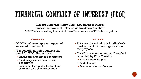## FINANCIAL CONFLICT OF INTEREST (FCOI)

Maestro Personnel Review Task – new feature in Maestro Process improvement – planned go-live date of October 1 AASET Intake – tasking feature to kick-off confirmation of FCOI Investigators

### **CURRENT FUTURE**

- FCOI list of investigators requested via email from the PI
- **PI received multiple requests via** email for FCOI list, at times
	- Emails crossing across departments
	- Email response unclear to next department
	- Some email templates had a blank chart and only changes entered

- PI to see the actual list of individuals marked as FCOI Investigators from the proposal
- Certification and changes, if needed, recorded by PI in Maestro
	- **Better record keeping**
	- Audit history
	- **Documentation of changes**

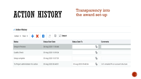## ACTION HISTORY

### Transparency into the award set-up

| ▲ Action History                                                                                                              |                          |                            |                                      |
|-------------------------------------------------------------------------------------------------------------------------------|--------------------------|----------------------------|--------------------------------------|
| Action $\blacktriangledown$ View $\blacktriangledown$ $\blacktriangledown$<br>$\circlearrowleft$<br>$x \equiv$<br>斝<br>Detach |                          |                            |                                      |
| Status                                                                                                                        | <b>Status Start Date</b> | Status Date To             | Comments                             |
| Setup in Process                                                                                                              | 04-Aug-2020 11:06:44     | Ïo                         |                                      |
| <b>Quality Check</b>                                                                                                          | 05-Aug-2020 10:09:24     | Ïo                         |                                      |
| Setup complete                                                                                                                | 05-Aug-2020 10:07:39     | Ïo                         |                                      |
| To Project administrator for action                                                                                           | 05-Aug-2020 08:48:01     | Ïo<br>05-Aug-2020 09:40:04 | 8/5: emailed PA on account structure |

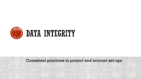

# **EXAMPLE DE LA PROPERTE DE L'ANSETTE**

Consistent practices in project and account set-ups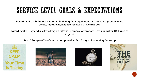## SERVICE LEVEL GOALS & EXPECTATIONS

Award Intake – **24 hour** turnaround initiating the negotiations and/or setup process once award/modification notice received in Awards box

Award Intake – log and start working an internal proposal or proposal revision within **24 hours** of request

Award Setup – 85% of setups completed within **5 days** of receiving the setup









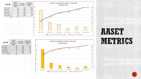



## AASET METRICS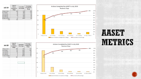